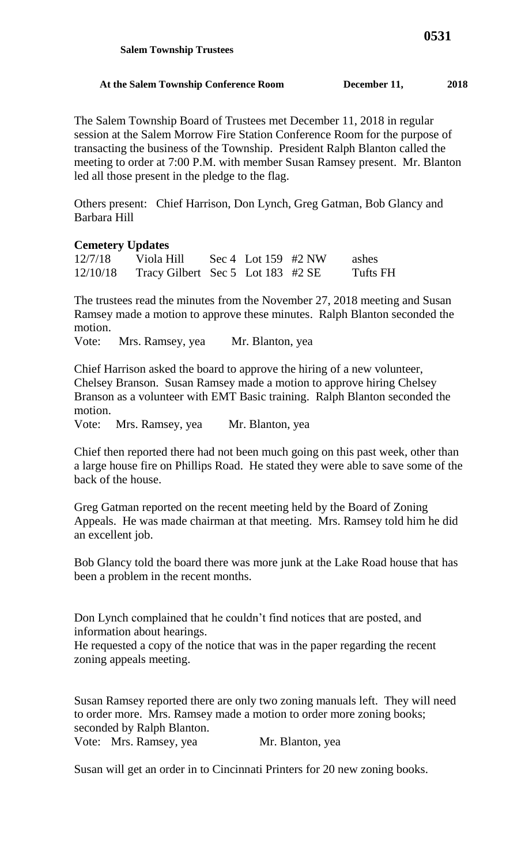## **At the Salem Township Conference Room December 11, 2018**

The Salem Township Board of Trustees met December 11, 2018 in regular session at the Salem Morrow Fire Station Conference Room for the purpose of transacting the business of the Township. President Ralph Blanton called the meeting to order at 7:00 P.M. with member Susan Ramsey present. Mr. Blanton led all those present in the pledge to the flag.

Others present: Chief Harrison, Don Lynch, Greg Gatman, Bob Glancy and Barbara Hill

## **Cemetery Updates**

| 12/7/18  | Viola Hill                        | Sec 4 Lot 159 $#2$ NW | ashes    |
|----------|-----------------------------------|-----------------------|----------|
| 12/10/18 | Tracy Gilbert Sec 5 Lot 183 #2 SE |                       | Tufts FH |

The trustees read the minutes from the November 27, 2018 meeting and Susan Ramsey made a motion to approve these minutes. Ralph Blanton seconded the motion.

Vote: Mrs. Ramsey, yea Mr. Blanton, yea

Chief Harrison asked the board to approve the hiring of a new volunteer, Chelsey Branson. Susan Ramsey made a motion to approve hiring Chelsey Branson as a volunteer with EMT Basic training. Ralph Blanton seconded the motion.

Vote: Mrs. Ramsey, yea Mr. Blanton, yea

Chief then reported there had not been much going on this past week, other than a large house fire on Phillips Road. He stated they were able to save some of the back of the house.

Greg Gatman reported on the recent meeting held by the Board of Zoning Appeals. He was made chairman at that meeting. Mrs. Ramsey told him he did an excellent job.

Bob Glancy told the board there was more junk at the Lake Road house that has been a problem in the recent months.

Don Lynch complained that he couldn't find notices that are posted, and information about hearings.

He requested a copy of the notice that was in the paper regarding the recent zoning appeals meeting.

Susan Ramsey reported there are only two zoning manuals left. They will need to order more. Mrs. Ramsey made a motion to order more zoning books; seconded by Ralph Blanton.

Vote: Mrs. Ramsey, yea Mr. Blanton, yea

Susan will get an order in to Cincinnati Printers for 20 new zoning books.